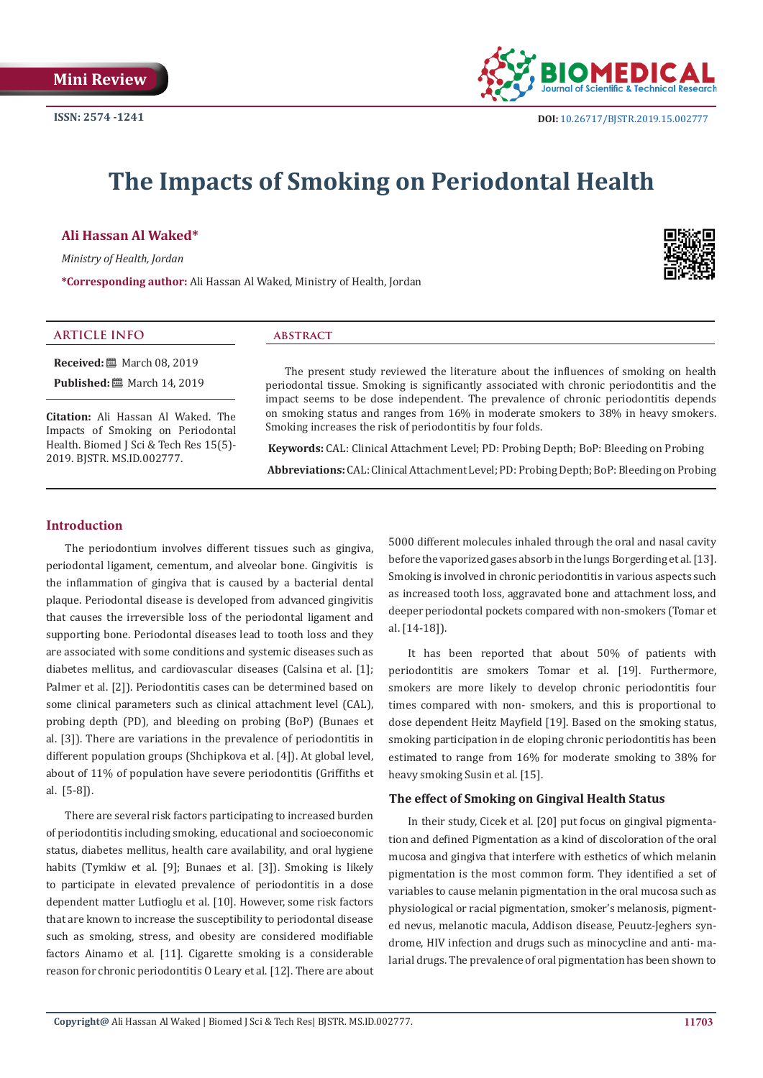

# **The Impacts of Smoking on Periodontal Health**

## **Ali Hassan Al Waked\***

*Ministry of Health, Jordan*

**\*Corresponding author:** Ali Hassan Al Waked, Ministry of Health, Jordan



#### **ARTICLE INFO abstract**

**Received:** ■ March 08, 2019 **Published:** 圖 March 14, 2019

**Citation:** Ali Hassan Al Waked. The Impacts of Smoking on Periodontal Health. Biomed J Sci & Tech Res 15(5)- 2019. BJSTR. MS.ID.002777.

The present study reviewed the literature about the influences of smoking on health periodontal tissue. Smoking is significantly associated with chronic periodontitis and the impact seems to be dose independent. The prevalence of chronic periodontitis depends on smoking status and ranges from 16% in moderate smokers to 38% in heavy smokers. Smoking increases the risk of periodontitis by four folds.

 **Keywords:** CAL: Clinical Attachment Level; PD: Probing Depth; BoP: Bleeding on Probing  **Abbreviations:** CAL: Clinical Attachment Level; PD: Probing Depth; BoP: Bleeding on Probing

## **Introduction**

The periodontium involves different tissues such as gingiva, periodontal ligament, cementum, and alveolar bone. Gingivitis is the inflammation of gingiva that is caused by a bacterial dental plaque. Periodontal disease is developed from advanced gingivitis that causes the irreversible loss of the periodontal ligament and supporting bone. Periodontal diseases lead to tooth loss and they are associated with some conditions and systemic diseases such as diabetes mellitus, and cardiovascular diseases (Calsina et al. [1]; Palmer et al. [2]). Periodontitis cases can be determined based on some clinical parameters such as clinical attachment level (CAL), probing depth (PD), and bleeding on probing (BoP) (Bunaes et al. [3]). There are variations in the prevalence of periodontitis in different population groups (Shchipkova et al. [4]). At global level, about of 11% of population have severe periodontitis (Griffiths et al. [5-8]).

There are several risk factors participating to increased burden of periodontitis including smoking, educational and socioeconomic status, diabetes mellitus, health care availability, and oral hygiene habits (Tymkiw et al. [9]; Bunaes et al. [3]). Smoking is likely to participate in elevated prevalence of periodontitis in a dose dependent matter Lutfioglu et al. [10]. However, some risk factors that are known to increase the susceptibility to periodontal disease such as smoking, stress, and obesity are considered modifiable factors Ainamo et al. [11]. Cigarette smoking is a considerable reason for chronic periodontitis O Leary et al. [12]. There are about

5000 different molecules inhaled through the oral and nasal cavity before the vaporized gases absorb in the lungs Borgerding et al. [13]. Smoking is involved in chronic periodontitis in various aspects such as increased tooth loss, aggravated bone and attachment loss, and deeper periodontal pockets compared with non-smokers (Tomar et al. [14-18]).

It has been reported that about 50% of patients with periodontitis are smokers Tomar et al. [19]. Furthermore, smokers are more likely to develop chronic periodontitis four times compared with non- smokers, and this is proportional to dose dependent Heitz Mayfield [19]. Based on the smoking status, smoking participation in de eloping chronic periodontitis has been estimated to range from 16% for moderate smoking to 38% for heavy smoking Susin et al. [15].

#### **The effect of Smoking on Gingival Health Status**

In their study, Cicek et al. [20] put focus on gingival pigmentation and defined Pigmentation as a kind of discoloration of the oral mucosa and gingiva that interfere with esthetics of which melanin pigmentation is the most common form. They identified a set of variables to cause melanin pigmentation in the oral mucosa such as physiological or racial pigmentation, smoker's melanosis, pigmented nevus, melanotic macula, Addison disease, Peuutz-Jeghers syndrome, HIV infection and drugs such as minocycline and anti- malarial drugs. The prevalence of oral pigmentation has been shown to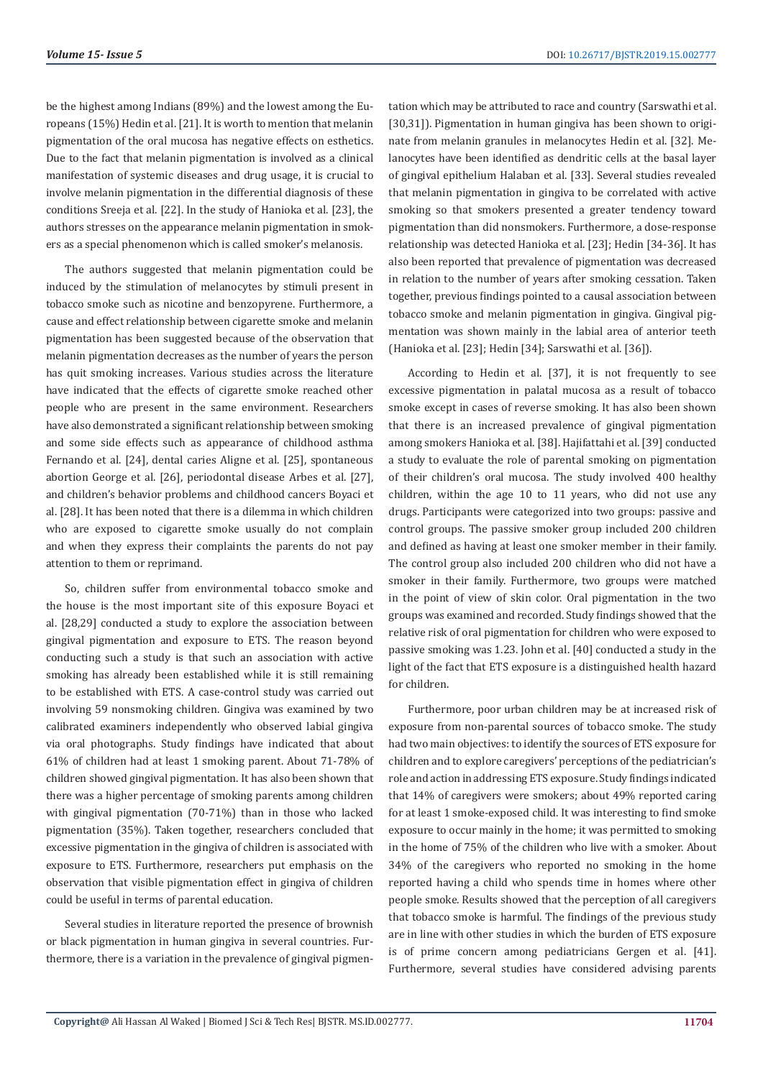be the highest among Indians (89%) and the lowest among the Europeans (15%) Hedin et al. [21]. It is worth to mention that melanin pigmentation of the oral mucosa has negative effects on esthetics. Due to the fact that melanin pigmentation is involved as a clinical manifestation of systemic diseases and drug usage, it is crucial to involve melanin pigmentation in the differential diagnosis of these conditions Sreeja et al. [22]. In the study of Hanioka et al. [23], the authors stresses on the appearance melanin pigmentation in smokers as a special phenomenon which is called smoker's melanosis.

The authors suggested that melanin pigmentation could be induced by the stimulation of melanocytes by stimuli present in tobacco smoke such as nicotine and benzopyrene. Furthermore, a cause and effect relationship between cigarette smoke and melanin pigmentation has been suggested because of the observation that melanin pigmentation decreases as the number of years the person has quit smoking increases. Various studies across the literature have indicated that the effects of cigarette smoke reached other people who are present in the same environment. Researchers have also demonstrated a significant relationship between smoking and some side effects such as appearance of childhood asthma Fernando et al. [24], dental caries Aligne et al. [25], spontaneous abortion George et al. [26], periodontal disease Arbes et al. [27], and children's behavior problems and childhood cancers Boyaci et al. [28]. It has been noted that there is a dilemma in which children who are exposed to cigarette smoke usually do not complain and when they express their complaints the parents do not pay attention to them or reprimand.

So, children suffer from environmental tobacco smoke and the house is the most important site of this exposure Boyaci et al. [28,29] conducted a study to explore the association between gingival pigmentation and exposure to ETS. The reason beyond conducting such a study is that such an association with active smoking has already been established while it is still remaining to be established with ETS. A case-control study was carried out involving 59 nonsmoking children. Gingiva was examined by two calibrated examiners independently who observed labial gingiva via oral photographs. Study findings have indicated that about 61% of children had at least 1 smoking parent. About 71-78% of children showed gingival pigmentation. It has also been shown that there was a higher percentage of smoking parents among children with gingival pigmentation (70-71%) than in those who lacked pigmentation (35%). Taken together, researchers concluded that excessive pigmentation in the gingiva of children is associated with exposure to ETS. Furthermore, researchers put emphasis on the observation that visible pigmentation effect in gingiva of children could be useful in terms of parental education.

Several studies in literature reported the presence of brownish or black pigmentation in human gingiva in several countries. Furthermore, there is a variation in the prevalence of gingival pigmentation which may be attributed to race and country (Sarswathi et al. [30,31]). Pigmentation in human gingiva has been shown to originate from melanin granules in melanocytes Hedin et al. [32]. Melanocytes have been identified as dendritic cells at the basal layer of gingival epithelium Halaban et al. [33]. Several studies revealed that melanin pigmentation in gingiva to be correlated with active smoking so that smokers presented a greater tendency toward pigmentation than did nonsmokers. Furthermore, a dose-response relationship was detected Hanioka et al. [23]; Hedin [34-36]. It has also been reported that prevalence of pigmentation was decreased in relation to the number of years after smoking cessation. Taken together, previous findings pointed to a causal association between tobacco smoke and melanin pigmentation in gingiva. Gingival pigmentation was shown mainly in the labial area of anterior teeth (Hanioka et al. [23]; Hedin [34]; Sarswathi et al. [36]).

According to Hedin et al. [37], it is not frequently to see excessive pigmentation in palatal mucosa as a result of tobacco smoke except in cases of reverse smoking. It has also been shown that there is an increased prevalence of gingival pigmentation among smokers Hanioka et al. [38]. Hajifattahi et al. [39] conducted a study to evaluate the role of parental smoking on pigmentation of their children's oral mucosa. The study involved 400 healthy children, within the age 10 to 11 years, who did not use any drugs. Participants were categorized into two groups: passive and control groups. The passive smoker group included 200 children and defined as having at least one smoker member in their family. The control group also included 200 children who did not have a smoker in their family. Furthermore, two groups were matched in the point of view of skin color. Oral pigmentation in the two groups was examined and recorded. Study findings showed that the relative risk of oral pigmentation for children who were exposed to passive smoking was 1.23. John et al. [40] conducted a study in the light of the fact that ETS exposure is a distinguished health hazard for children.

Furthermore, poor urban children may be at increased risk of exposure from non-parental sources of tobacco smoke. The study had two main objectives: to identify the sources of ETS exposure for children and to explore caregivers' perceptions of the pediatrician's role and action in addressing ETS exposure. Study findings indicated that 14% of caregivers were smokers; about 49% reported caring for at least 1 smoke-exposed child. It was interesting to find smoke exposure to occur mainly in the home; it was permitted to smoking in the home of 75% of the children who live with a smoker. About 34% of the caregivers who reported no smoking in the home reported having a child who spends time in homes where other people smoke. Results showed that the perception of all caregivers that tobacco smoke is harmful. The findings of the previous study are in line with other studies in which the burden of ETS exposure is of prime concern among pediatricians Gergen et al. [41]. Furthermore, several studies have considered advising parents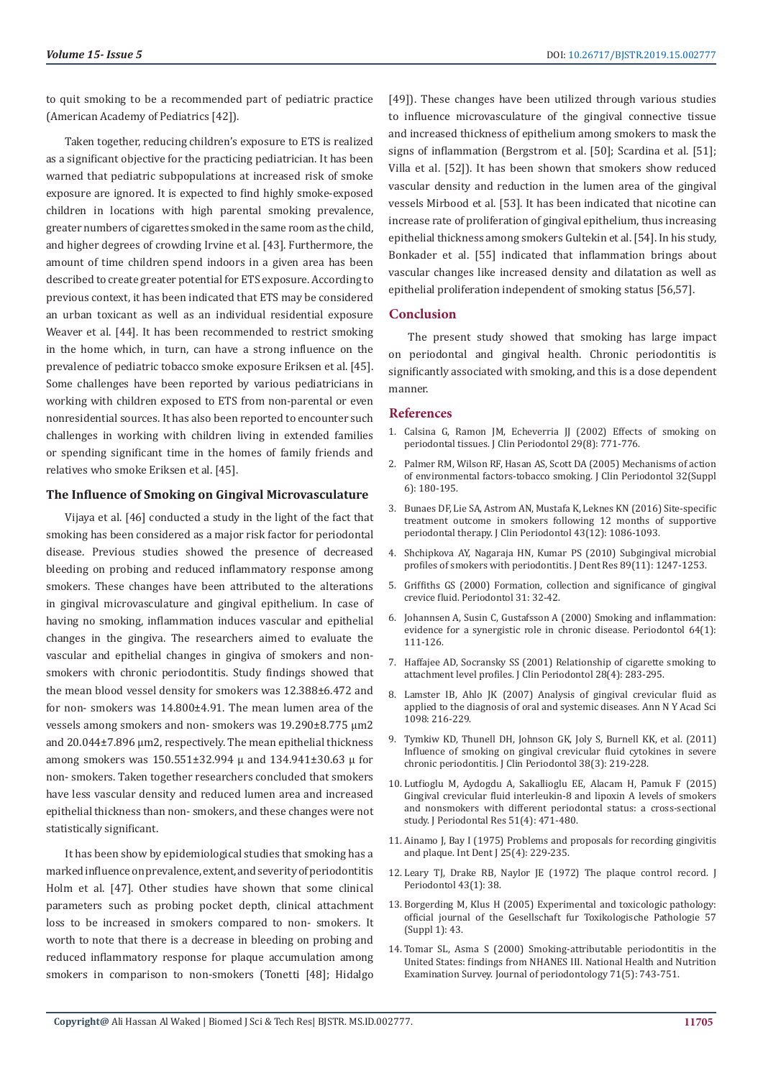to quit smoking to be a recommended part of pediatric practice (American Academy of Pediatrics [42]).

Taken together, reducing children's exposure to ETS is realized as a significant objective for the practicing pediatrician. It has been warned that pediatric subpopulations at increased risk of smoke exposure are ignored. It is expected to find highly smoke-exposed children in locations with high parental smoking prevalence, greater numbers of cigarettes smoked in the same room as the child, and higher degrees of crowding Irvine et al. [43]. Furthermore, the amount of time children spend indoors in a given area has been described to create greater potential for ETS exposure. According to previous context, it has been indicated that ETS may be considered an urban toxicant as well as an individual residential exposure Weaver et al. [44]. It has been recommended to restrict smoking in the home which, in turn, can have a strong influence on the prevalence of pediatric tobacco smoke exposure Eriksen et al. [45]. Some challenges have been reported by various pediatricians in working with children exposed to ETS from non-parental or even nonresidential sources. It has also been reported to encounter such challenges in working with children living in extended families or spending significant time in the homes of family friends and relatives who smoke Eriksen et al. [45].

## **The Influence of Smoking on Gingival Microvasculature**

Vijaya et al. [46] conducted a study in the light of the fact that smoking has been considered as a major risk factor for periodontal disease. Previous studies showed the presence of decreased bleeding on probing and reduced inflammatory response among smokers. These changes have been attributed to the alterations in gingival microvasculature and gingival epithelium. In case of having no smoking, inflammation induces vascular and epithelial changes in the gingiva. The researchers aimed to evaluate the vascular and epithelial changes in gingiva of smokers and nonsmokers with chronic periodontitis. Study findings showed that the mean blood vessel density for smokers was 12.388±6.472 and for non- smokers was 14.800±4.91. The mean lumen area of the vessels among smokers and non- smokers was 19.290±8.775 μm2 and 20.044±7.896 μm2, respectively. The mean epithelial thickness among smokers was 150.551±32.994 μ and 134.941±30.63 μ for non- smokers. Taken together researchers concluded that smokers have less vascular density and reduced lumen area and increased epithelial thickness than non- smokers, and these changes were not statistically significant.

It has been show by epidemiological studies that smoking has a marked influence on prevalence, extent, and severity of periodontitis Holm et al. [47]. Other studies have shown that some clinical parameters such as probing pocket depth, clinical attachment loss to be increased in smokers compared to non- smokers. It worth to note that there is a decrease in bleeding on probing and reduced inflammatory response for plaque accumulation among smokers in comparison to non-smokers (Tonetti [48]; Hidalgo

[49]). These changes have been utilized through various studies to influence microvasculature of the gingival connective tissue and increased thickness of epithelium among smokers to mask the signs of inflammation (Bergstrom et al. [50]; Scardina et al. [51]; Villa et al. [52]). It has been shown that smokers show reduced vascular density and reduction in the lumen area of the gingival vessels Mirbood et al. [53]. It has been indicated that nicotine can increase rate of proliferation of gingival epithelium, thus increasing epithelial thickness among smokers Gultekin et al. [54]. In his study, Bonkader et al. [55] indicated that inflammation brings about vascular changes like increased density and dilatation as well as epithelial proliferation independent of smoking status [56,57].

#### **Conclusion**

The present study showed that smoking has large impact on periodontal and gingival health. Chronic periodontitis is significantly associated with smoking, and this is a dose dependent manner.

#### **References**

- 1. Calsina G, Ramon JM, Echeverria JJ (2002) Effects of smoking on periodontal tissues. J Clin Periodontol 29(8): 771-776.
- 2. Palmer RM, Wilson RF, Hasan AS, Scott DA (2005) Mechanisms of action of environmental factors-tobacco smoking. J Clin Periodontol 32(Suppl 6): 180-195.
- 3. Bunaes DF, Lie SA, Astrom AN, Mustafa K, Leknes KN (2016) Site-specific treatment outcome in smokers following 12 months of supportive periodontal therapy. J Clin Periodontol 43(12): 1086-1093.
- 4. Shchipkova AY, Nagaraja HN, Kumar PS (2010) Subgingival microbial profiles of smokers with periodontitis. J Dent Res 89(11): 1247-1253.
- 5. Griffiths GS (2000) Formation, collection and significance of gingival crevice fluid. Periodontol 31: 32-42.
- 6. Johannsen A, Susin C, Gustafsson A (2000) Smoking and inflammation: evidence for a synergistic role in chronic disease. Periodontol 64(1): 111-126.
- 7. Haffajee AD, Socransky SS (2001) Relationship of cigarette smoking to attachment level profiles. J Clin Periodontol 28(4): 283-295.
- 8. Lamster IB, Ahlo JK (2007) Analysis of gingival crevicular fluid as applied to the diagnosis of oral and systemic diseases. Ann N Y Acad Sci 1098: 216-229.
- 9. Tymkiw KD, Thunell DH, Johnson GK, Joly S, Burnell KK, et al. (2011) Influence of smoking on gingival crevicular fluid cytokines in severe chronic periodontitis. J Clin Periodontol 38(3): 219-228.
- 10. Lutfioglu M, Aydogdu A, Sakallioglu EE, Alacam H, Pamuk F (2015) Gingival crevicular fluid interleukin-8 and lipoxin A levels of smokers and nonsmokers with different periodontal status: a cross-sectional study. J Periodontal Res 51(4): 471-480.
- 11. Ainamo J, Bay I (1975) Problems and proposals for recording gingivitis and plaque. Int Dent J 25(4): 229-235.
- 12. Leary TJ, Drake RB, Naylor JE (1972) The plaque control record. J Periodontol 43(1): 38.
- 13. Borgerding M, Klus H (2005) Experimental and toxicologic pathology: official journal of the Gesellschaft fur Toxikologische Pathologie 57 (Suppl 1): 43.
- 14. Tomar SL, Asma S (2000) Smoking-attributable periodontitis in the United States: findings from NHANES III. National Health and Nutrition Examination Survey. Journal of periodontology 71(5): 743-751.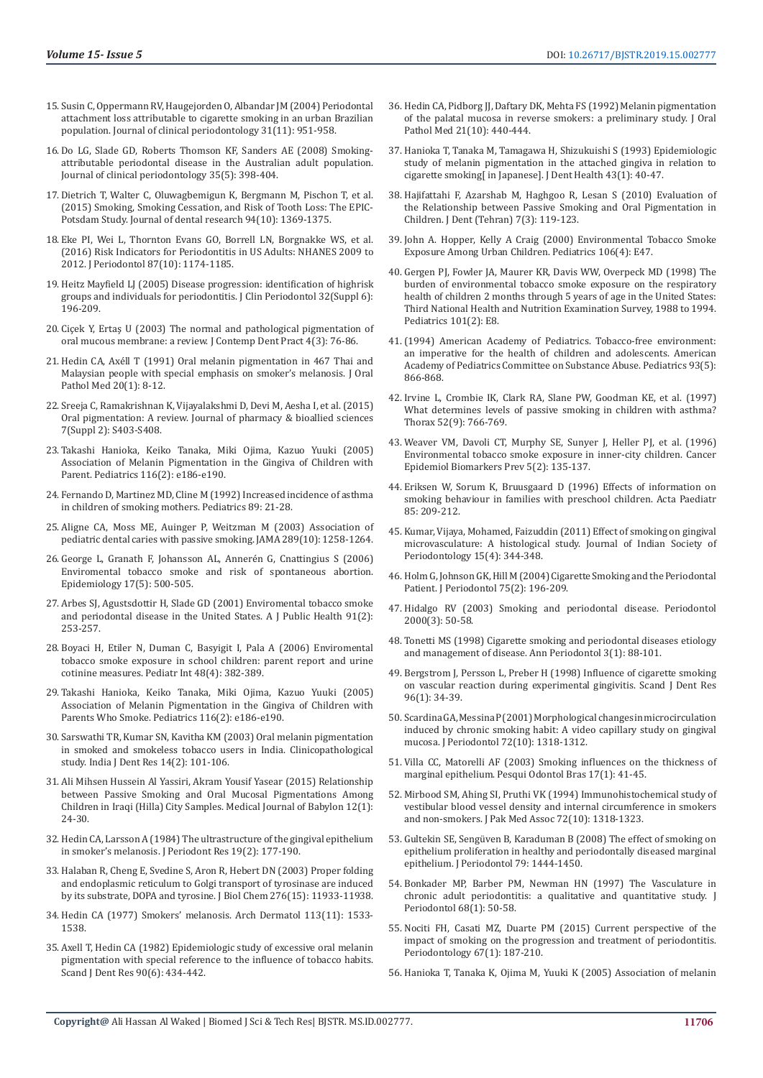- 15. Susin C, Oppermann RV, Haugejorden O, Albandar JM (2004) Periodontal attachment loss attributable to cigarette smoking in an urban Brazilian population. Journal of clinical periodontology 31(11): 951-958.
- 16. Do LG, Slade GD, Roberts Thomson KF, Sanders AE (2008) Smokingattributable periodontal disease in the Australian adult population. Journal of clinical periodontology 35(5): 398-404.
- 17. Dietrich T, Walter C, Oluwagbemigun K, Bergmann M, Pischon T, et al. (2015) Smoking, Smoking Cessation, and Risk of Tooth Loss: The EPIC-Potsdam Study. Journal of dental research 94(10): 1369-1375.
- 18. Eke PI, Wei L, Thornton Evans GO, Borrell LN, Borgnakke WS, et al. (2016) Risk Indicators for Periodontitis in US Adults: NHANES 2009 to 2012. J Periodontol 87(10): 1174-1185.
- 19. Heitz Mayfield LJ (2005) Disease progression: identification of highrisk groups and individuals for periodontitis. J Clin Periodontol 32(Suppl 6): 196-209.
- 20. Ciçek Y, Ertaş U (2003) The normal and pathological pigmentation of oral mucous membrane: a review. J Contemp Dent Pract 4(3): 76-86.
- 21. Hedin CA, Axéll T (1991) Oral melanin pigmentation in 467 Thai and Malaysian people with special emphasis on smoker's melanosis. J Oral Pathol Med 20(1): 8-12.
- 22. Sreeja C, Ramakrishnan K, Vijayalakshmi D, Devi M, Aesha I, et al. (2015) Oral pigmentation: A review. Journal of pharmacy & bioallied sciences 7(Suppl 2): S403-S408.
- 23. Takashi Hanioka, Keiko Tanaka, Miki Ojima, Kazuo Yuuki (2005) Association of Melanin Pigmentation in the Gingiva of Children with Parent. Pediatrics 116(2): e186-e190.
- 24. Fernando D, Martinez MD, Cline M (1992) Increased incidence of asthma in children of smoking mothers. Pediatrics 89: 21-28.
- 25. Aligne CA, Moss ME, Auinger P, Weitzman M (2003) Association of pediatric dental caries with passive smoking. JAMA 289(10): 1258-1264.
- 26. George L, Granath F, Johansson AL, Annerén G, Cnattingius S (2006) Enviromental tobacco smoke and risk of spontaneous abortion. Epidemiology 17(5): 500-505.
- 27. Arbes SJ, Agustsdottir H, Slade GD (2001) Enviromental tobacco smoke and periodontal disease in the United States. A J Public Health 91(2): 253-257.
- 28. Boyaci H, Etiler N, Duman C, Basyigit I, Pala A (2006) Enviromental tobacco smoke exposure in school children: parent report and urine cotinine measures. Pediatr Int 48(4): 382-389.
- 29. Takashi Hanioka, Keiko Tanaka, Miki Ojima, Kazuo Yuuki (2005) Association of Melanin Pigmentation in the Gingiva of Children with Parents Who Smoke. Pediatrics 116(2): e186-e190.
- 30. Sarswathi TR, Kumar SN, Kavitha KM (2003) Oral melanin pigmentation in smoked and smokeless tobacco users in India. Clinicopathological study. India J Dent Res 14(2): 101-106.
- 31. Ali Mihsen Hussein Al Yassiri, Akram Yousif Yasear (2015) Relationship between Passive Smoking and Oral Mucosal Pigmentations Among Children in Iraqi (Hilla) City Samples. Medical Journal of Babylon 12(1): 24-30.
- 32. Hedin CA, Larsson A (1984) The ultrastructure of the gingival epithelium in smoker's melanosis. J Periodont Res 19(2): 177-190.
- 33. Halaban R, Cheng E, Svedine S, Aron R, Hebert DN (2003) Proper folding and endoplasmic reticulum to Golgi transport of tyrosinase are induced by its substrate, DOPA and tyrosine. J Biol Chem 276(15): 11933-11938.
- 34. Hedin CA (1977) Smokers' melanosis. Arch Dermatol 113(11): 1533- 1538.
- 35. Axell T, Hedin CA (1982) Epidemiologic study of excessive oral melanin pigmentation with special reference to the influence of tobacco habits. Scand J Dent Res 90(6): 434-442.
- 36. Hedin CA, Pidborg JJ, Daftary DK, Mehta FS (1992) Melanin pigmentation of the palatal mucosa in reverse smokers: a preliminary study. J Oral Pathol Med 21(10): 440-444.
- 37. Hanioka T, Tanaka M, Tamagawa H, Shizukuishi S (1993) Epidemiologic study of melanin pigmentation in the attached gingiva in relation to cigarette smoking[ in Japanese]. J Dent Health 43(1): 40-47.
- 38. Hajifattahi F, Azarshab M, Haghgoo R, Lesan S (2010) Evaluation of the Relationship between Passive Smoking and Oral Pigmentation in Children. J Dent (Tehran) 7(3): 119-123.
- 39. John A. Hopper, Kelly A Craig (2000) Environmental Tobacco Smoke Exposure Among Urban Children. Pediatrics 106(4): E47.
- 40. Gergen PJ, Fowler JA, Maurer KR, Davis WW, Overpeck MD (1998) The burden of environmental tobacco smoke exposure on the respiratory health of children 2 months through 5 years of age in the United States: Third National Health and Nutrition Examination Survey, 1988 to 1994. Pediatrics 101(2): E8.
- 41.(1994) American Academy of Pediatrics. Tobacco-free environment: an imperative for the health of children and adolescents. American Academy of Pediatrics Committee on Substance Abuse. Pediatrics 93(5): 866-868.
- 42. Irvine L, Crombie IK, Clark RA, Slane PW, Goodman KE, et al. (1997) What determines levels of passive smoking in children with asthma? Thorax 52(9): 766-769.
- 43. Weaver VM, Davoli CT, Murphy SE, Sunyer J, Heller PJ, et al. (1996) Environmental tobacco smoke exposure in inner-city children. Cancer Epidemiol Biomarkers Prev 5(2): 135-137.
- 44. Eriksen W, Sorum K, Bruusgaard D (1996) Effects of information on smoking behaviour in families with preschool children. Acta Paediatr 85: 209-212.
- 45. Kumar, Vijaya, Mohamed, Faizuddin (2011) Effect of smoking on gingival microvasculature: A histological study. Journal of Indian Society of Periodontology 15(4): 344-348.
- 46. Holm G, Johnson GK, Hill M (2004) Cigarette Smoking and the Periodontal Patient. J Periodontol 75(2): 196-209.
- 47. Hidalgo RV (2003) Smoking and periodontal disease. Periodontol 2000(3): 50-58.
- 48. Tonetti MS (1998) Cigarette smoking and periodontal diseases etiology and management of disease. Ann Periodontol 3(1): 88-101.
- 49. Bergstrom J, Persson L, Preber H (1998) Influence of cigarette smoking on vascular reaction during experimental gingivitis. Scand J Dent Res 96(1): 34-39.
- 50. Scardina GA, Messina P (2001) Morphological changes in microcirculation induced by chronic smoking habit: A video capillary study on gingival mucosa. J Periodontol 72(10): 1318-1312.
- 51. Villa CC, Matorelli AF (2003) Smoking influences on the thickness of marginal epithelium. Pesqui Odontol Bras 17(1): 41-45.
- 52. Mirbood SM, Ahing SI, Pruthi VK (1994) Immunohistochemical study of vestibular blood vessel density and internal circumference in smokers and non-smokers. J Pak Med Assoc 72(10): 1318-1323.
- 53. Gultekin SE, Sengüven B, Karaduman B (2008) The effect of smoking on epithelium proliferation in healthy and periodontally diseased marginal epithelium. J Periodontol 79: 1444-1450.
- 54. Bonkader MP, Barber PM, Newman HN (1997) The Vasculature in chronic adult periodontitis: a qualitative and quantitative study. J Periodontol 68(1): 50-58.
- 55. Nociti FH, Casati MZ, Duarte PM (2015) Current perspective of the impact of smoking on the progression and treatment of periodontitis. Periodontology 67(1): 187-210.
- 56. Hanioka T, Tanaka K, Ojima M, Yuuki K (2005) Association of melanin